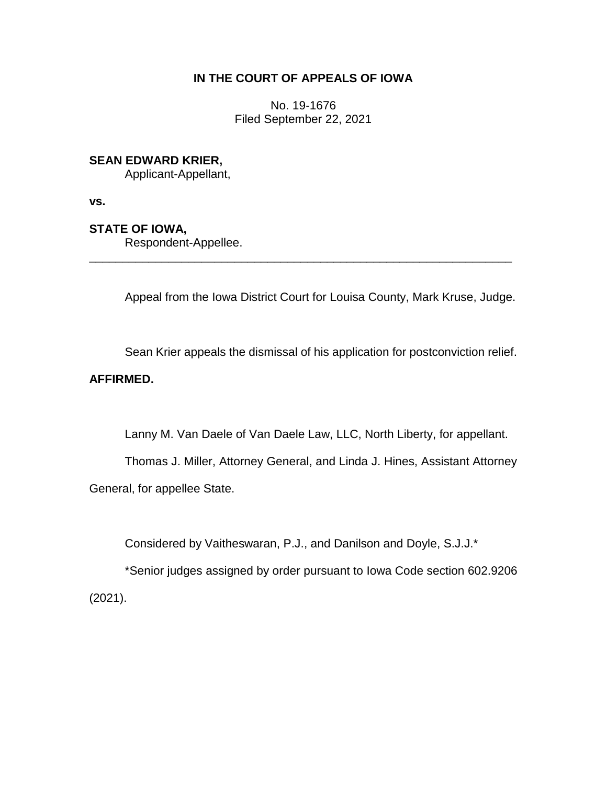## **IN THE COURT OF APPEALS OF IOWA**

No. 19-1676 Filed September 22, 2021

### **SEAN EDWARD KRIER,**

Applicant-Appellant,

**vs.**

### **STATE OF IOWA,**

Respondent-Appellee.

Appeal from the Iowa District Court for Louisa County, Mark Kruse, Judge.

\_\_\_\_\_\_\_\_\_\_\_\_\_\_\_\_\_\_\_\_\_\_\_\_\_\_\_\_\_\_\_\_\_\_\_\_\_\_\_\_\_\_\_\_\_\_\_\_\_\_\_\_\_\_\_\_\_\_\_\_\_\_\_\_

Sean Krier appeals the dismissal of his application for postconviction relief.

# **AFFIRMED.**

Lanny M. Van Daele of Van Daele Law, LLC, North Liberty, for appellant.

Thomas J. Miller, Attorney General, and Linda J. Hines, Assistant Attorney General, for appellee State.

Considered by Vaitheswaran, P.J., and Danilson and Doyle, S.J.J.\*

\*Senior judges assigned by order pursuant to Iowa Code section 602.9206 (2021).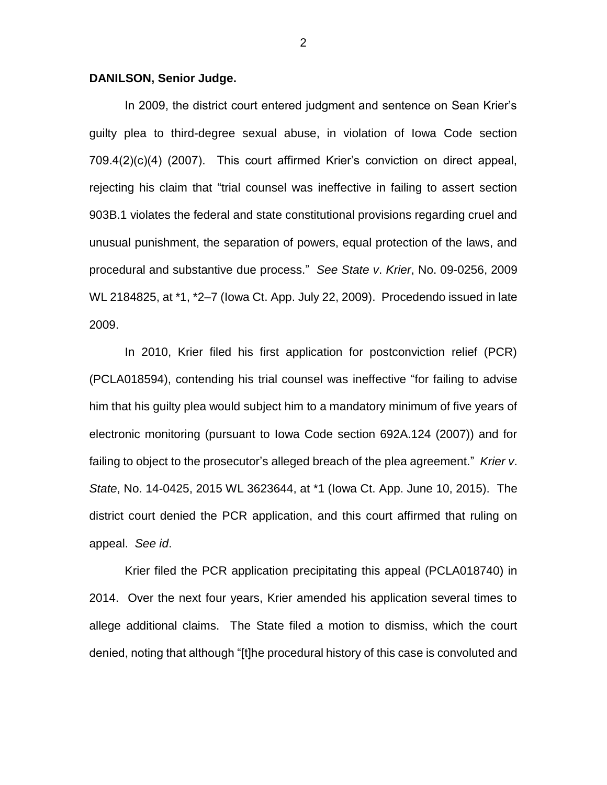#### **DANILSON, Senior Judge.**

In 2009, the district court entered judgment and sentence on Sean Krier's guilty plea to third-degree sexual abuse, in violation of Iowa Code section 709.4(2)(c)(4) (2007). This court affirmed Krier's conviction on direct appeal, rejecting his claim that "trial counsel was ineffective in failing to assert section 903B.1 violates the federal and state constitutional provisions regarding cruel and unusual punishment, the separation of powers, equal protection of the laws, and procedural and substantive due process." *See State v*. *Krier*, No. 09-0256, 2009 WL 2184825, at \*1, \*2–7 (Iowa Ct. App. July 22, 2009). Procedendo issued in late 2009.

In 2010, Krier filed his first application for postconviction relief (PCR) (PCLA018594), contending his trial counsel was ineffective "for failing to advise him that his guilty plea would subject him to a mandatory minimum of five years of electronic monitoring (pursuant to Iowa Code section 692A.124 (2007)) and for failing to object to the prosecutor's alleged breach of the plea agreement." *Krier v*. *State*, No. 14-0425, 2015 WL 3623644, at \*1 (Iowa Ct. App. June 10, 2015). The district court denied the PCR application, and this court affirmed that ruling on appeal. *See id*.

Krier filed the PCR application precipitating this appeal (PCLA018740) in 2014. Over the next four years, Krier amended his application several times to allege additional claims. The State filed a motion to dismiss, which the court denied, noting that although "[t]he procedural history of this case is convoluted and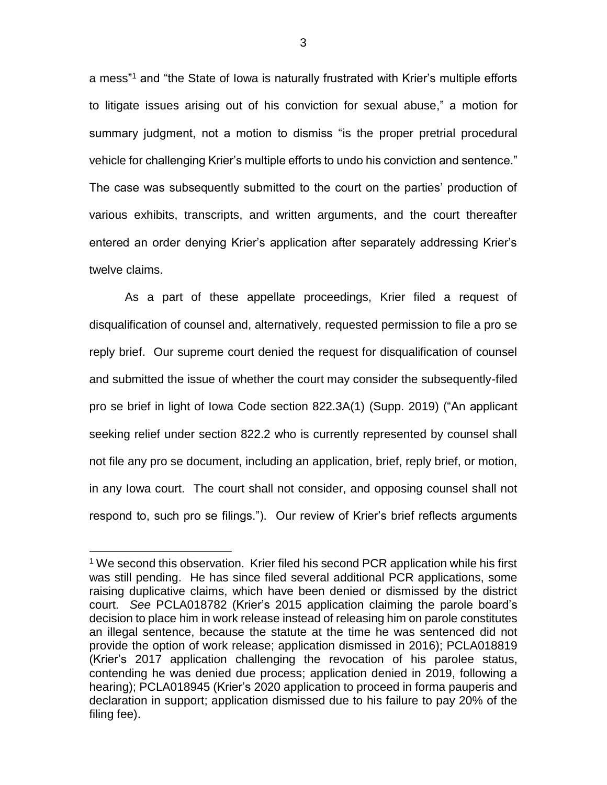a mess" <sup>1</sup> and "the State of Iowa is naturally frustrated with Krier's multiple efforts to litigate issues arising out of his conviction for sexual abuse," a motion for summary judgment, not a motion to dismiss "is the proper pretrial procedural vehicle for challenging Krier's multiple efforts to undo his conviction and sentence." The case was subsequently submitted to the court on the parties' production of various exhibits, transcripts, and written arguments, and the court thereafter entered an order denying Krier's application after separately addressing Krier's twelve claims.

As a part of these appellate proceedings, Krier filed a request of disqualification of counsel and, alternatively, requested permission to file a pro se reply brief. Our supreme court denied the request for disqualification of counsel and submitted the issue of whether the court may consider the subsequently-filed pro se brief in light of Iowa Code section 822.3A(1) (Supp. 2019) ("An applicant seeking relief under section 822.2 who is currently represented by counsel shall not file any pro se document, including an application, brief, reply brief, or motion, in any Iowa court. The court shall not consider, and opposing counsel shall not respond to, such pro se filings."). Our review of Krier's brief reflects arguments

 $\overline{a}$ 

<sup>&</sup>lt;sup>1</sup> We second this observation. Krier filed his second PCR application while his first was still pending. He has since filed several additional PCR applications, some raising duplicative claims, which have been denied or dismissed by the district court. *See* PCLA018782 (Krier's 2015 application claiming the parole board's decision to place him in work release instead of releasing him on parole constitutes an illegal sentence, because the statute at the time he was sentenced did not provide the option of work release; application dismissed in 2016); PCLA018819 (Krier's 2017 application challenging the revocation of his parolee status, contending he was denied due process; application denied in 2019, following a hearing); PCLA018945 (Krier's 2020 application to proceed in forma pauperis and declaration in support; application dismissed due to his failure to pay 20% of the filing fee).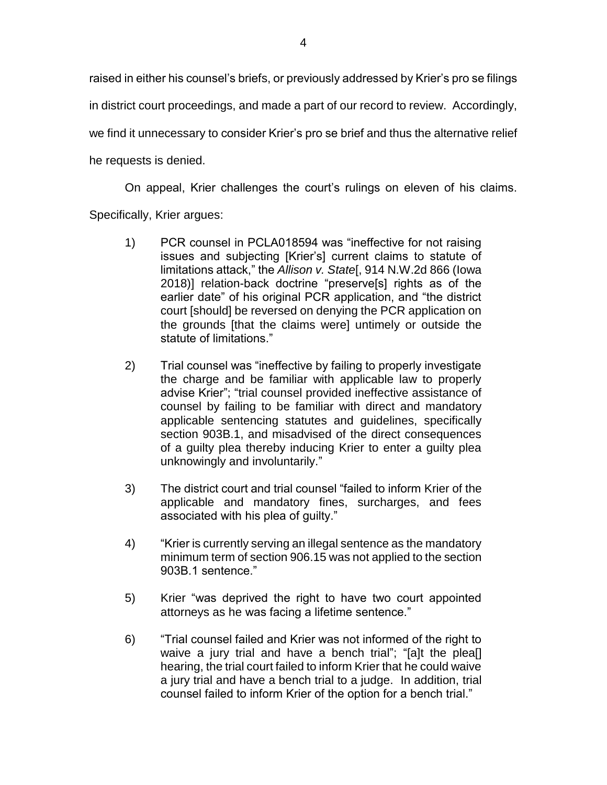raised in either his counsel's briefs, or previously addressed by Krier's pro se filings in district court proceedings, and made a part of our record to review. Accordingly, we find it unnecessary to consider Krier's pro se brief and thus the alternative relief he requests is denied.

On appeal, Krier challenges the court's rulings on eleven of his claims. Specifically, Krier argues:

- 1) PCR counsel in PCLA018594 was "ineffective for not raising issues and subjecting [Krier's] current claims to statute of limitations attack," the *Allison v. State*[, 914 N.W.2d 866 (Iowa 2018)] relation-back doctrine "preserve[s] rights as of the earlier date" of his original PCR application, and "the district court [should] be reversed on denying the PCR application on the grounds [that the claims were] untimely or outside the statute of limitations."
- 2) Trial counsel was "ineffective by failing to properly investigate the charge and be familiar with applicable law to properly advise Krier"; "trial counsel provided ineffective assistance of counsel by failing to be familiar with direct and mandatory applicable sentencing statutes and guidelines, specifically section 903B.1, and misadvised of the direct consequences of a guilty plea thereby inducing Krier to enter a guilty plea unknowingly and involuntarily."
- 3) The district court and trial counsel "failed to inform Krier of the applicable and mandatory fines, surcharges, and fees associated with his plea of guilty."
- 4) "Krier is currently serving an illegal sentence as the mandatory minimum term of section 906.15 was not applied to the section 903B.1 sentence."
- 5) Krier "was deprived the right to have two court appointed attorneys as he was facing a lifetime sentence."
- 6) "Trial counsel failed and Krier was not informed of the right to waive a jury trial and have a bench trial"; "[a]t the pleal] hearing, the trial court failed to inform Krier that he could waive a jury trial and have a bench trial to a judge. In addition, trial counsel failed to inform Krier of the option for a bench trial."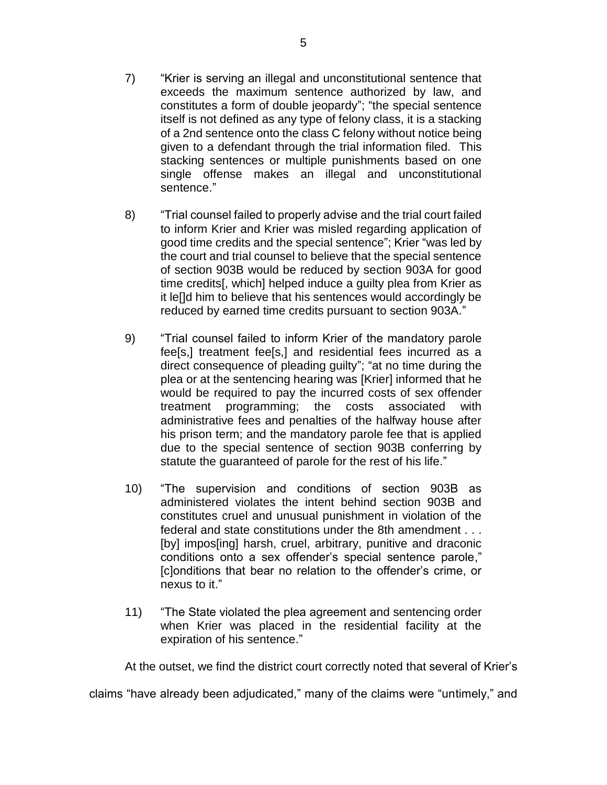- 7) "Krier is serving an illegal and unconstitutional sentence that exceeds the maximum sentence authorized by law, and constitutes a form of double jeopardy"; "the special sentence itself is not defined as any type of felony class, it is a stacking of a 2nd sentence onto the class C felony without notice being given to a defendant through the trial information filed. This stacking sentences or multiple punishments based on one single offense makes an illegal and unconstitutional sentence."
- 8) "Trial counsel failed to properly advise and the trial court failed to inform Krier and Krier was misled regarding application of good time credits and the special sentence"; Krier "was led by the court and trial counsel to believe that the special sentence of section 903B would be reduced by section 903A for good time credits[, which] helped induce a guilty plea from Krier as it le[]d him to believe that his sentences would accordingly be reduced by earned time credits pursuant to section 903A."
- 9) "Trial counsel failed to inform Krier of the mandatory parole fee[s,] treatment fee[s,] and residential fees incurred as a direct consequence of pleading guilty"; "at no time during the plea or at the sentencing hearing was [Krier] informed that he would be required to pay the incurred costs of sex offender treatment programming; the costs associated with administrative fees and penalties of the halfway house after his prison term; and the mandatory parole fee that is applied due to the special sentence of section 903B conferring by statute the guaranteed of parole for the rest of his life."
- 10) "The supervision and conditions of section 903B as administered violates the intent behind section 903B and constitutes cruel and unusual punishment in violation of the federal and state constitutions under the 8th amendment . . . [by] impos[ing] harsh, cruel, arbitrary, punitive and draconic conditions onto a sex offender's special sentence parole," [c]onditions that bear no relation to the offender's crime, or nexus to it."
- 11) "The State violated the plea agreement and sentencing order when Krier was placed in the residential facility at the expiration of his sentence."

At the outset, we find the district court correctly noted that several of Krier's

claims "have already been adjudicated," many of the claims were "untimely," and